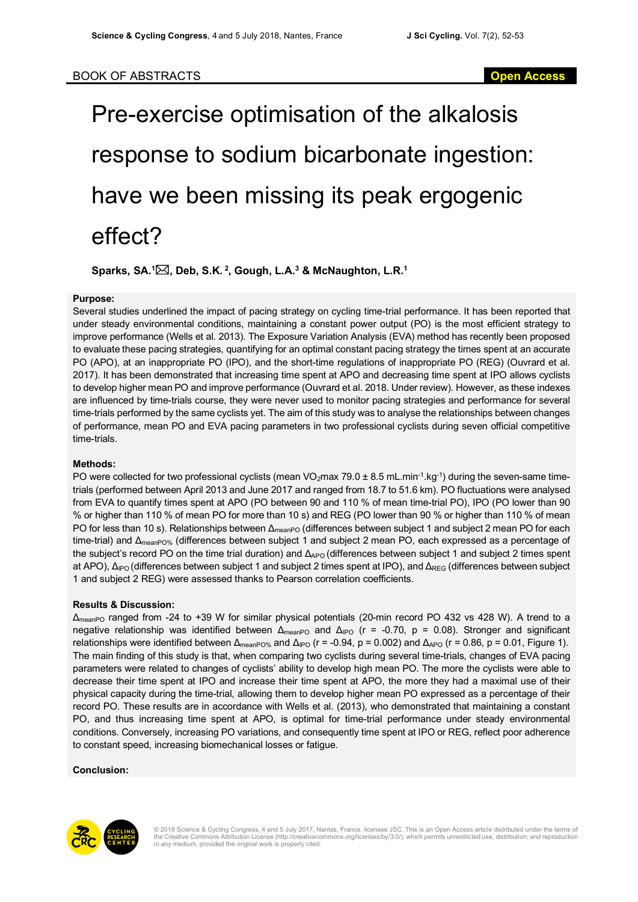# Pre-exercise optimisation of the alkalosis response to sodium bicarbonate ingestion: have we been missing its peak ergogenic effect?

**Sparks, SA. 1** \***, Deb, S.K. <sup>2</sup> , Gough, L.A.3 & McNaughton, L.R. 1**

#### **Purpose:**

Several studies underlined the impact of pacing strategy on cycling time-trial performance. It has been reported that under steady environmental conditions, maintaining a constant power output (PO) is the most efficient strategy to improve performance (Wells et al. 2013). The Exposure Variation Analysis (EVA) method has recently been proposed to evaluate these pacing strategies, quantifying for an optimal constant pacing strategy the times spent at an accurate PO (APO), at an inappropriate PO (IPO), and the short-time regulations of inappropriate PO (REG) (Ouvrard et al. 2017). It has been demonstrated that increasing time spent at APO and decreasing time spent at IPO allows cyclists to develop higher mean PO and improve performance (Ouvrard et al. 2018. Under review). However, as these indexes are influenced by time-trials course, they were never used to monitor pacing strategies and performance for several time-trials performed by the same cyclists yet. The aim of this study was to analyse the relationships between changes of performance, mean PO and EVA pacing parameters in two professional cyclists during seven official competitive time-trials.

#### **Methods:**

PO were collected for two professional cyclists (mean VO<sub>2</sub>max 79.0  $\pm$  8.5 mL.min<sup>-1</sup>.kg<sup>-1</sup>) during the seven-same timetrials (performed between April 2013 and June 2017 and ranged from 18.7 to 51.6 km). PO fluctuations were analysed from EVA to quantify times spent at APO (PO between 90 and 110 % of mean time-trial PO), IPO (PO lower than 90 % or higher than 110 % of mean PO for more than 10 s) and REG (PO lower than 90 % or higher than 110 % of mean PO for less than 10 s). Relationships between Δ<sub>meanPO</sub> (differences between subject 1 and subject 2 mean PO for each time-trial) and Δ<sub>meanPO%</sub> (differences between subject 1 and subject 2 mean PO, each expressed as a percentage of the subject's record PO on the time trial duration) and Δ<sub>APO</sub> (differences between subject 1 and subject 2 times spent at APO), Δ<sub>IPO</sub> (differences between subject 1 and subject 2 times spent at IPO), and Δ<sub>REG</sub> (differences between subject 1 and subject 2 REG) were assessed thanks to Pearson correlation coefficients.

#### **Results & Discussion:**

ΔmeanPO ranged from -24 to +39 W for similar physical potentials (20-min record PO 432 vs 428 W). A trend to a negative relationship was identified between  $Δ_{meanPO}$  and  $Δ_{IPO}$  (r = -0.70, p = 0.08). Stronger and significant relationships were identified between  $\Delta_{\text{meanPO\%}}$  and  $\Delta_{\text{PO}}$  (r = -0.94, p = 0.002) and  $\Delta_{\text{APO}}$  (r = 0.86, p = 0.01, Figure 1). The main finding of this study is that, when comparing two cyclists during several time-trials, changes of EVA pacing parameters were related to changes of cyclists' ability to develop high mean PO. The more the cyclists were able to decrease their time spent at IPO and increase their time spent at APO, the more they had a maximal use of their physical capacity during the time-trial, allowing them to develop higher mean PO expressed as a percentage of their record PO. These results are in accordance with Wells et al. (2013), who demonstrated that maintaining a constant PO, and thus increasing time spent at APO, is optimal for time-trial performance under steady environmental conditions. Conversely, increasing PO variations, and consequently time spent at IPO or REG, reflect poor adherence to constant speed, increasing biomechanical losses or fatigue.

#### **Conclusion:**